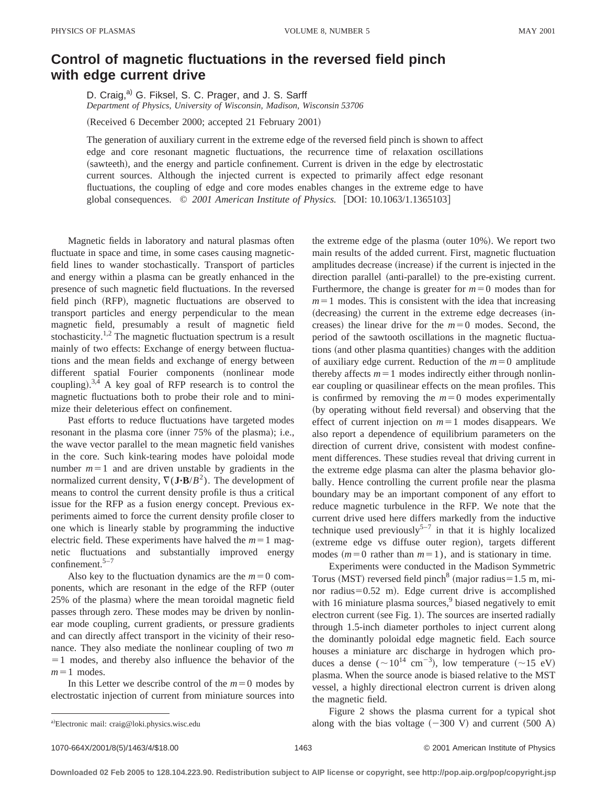## **Control of magnetic fluctuations in the reversed field pinch with edge current drive**

D. Craig,<sup>a)</sup> G. Fiksel, S. C. Prager, and J. S. Sarff *Department of Physics, University of Wisconsin, Madison, Wisconsin 53706*

(Received 6 December 2000; accepted 21 February 2001)

The generation of auxiliary current in the extreme edge of the reversed field pinch is shown to affect edge and core resonant magnetic fluctuations, the recurrence time of relaxation oscillations (sawteeth), and the energy and particle confinement. Current is driven in the edge by electrostatic current sources. Although the injected current is expected to primarily affect edge resonant fluctuations, the coupling of edge and core modes enables changes in the extreme edge to have global consequences. © 2001 American Institute of Physics. [DOI: 10.1063/1.1365103]

Magnetic fields in laboratory and natural plasmas often fluctuate in space and time, in some cases causing magneticfield lines to wander stochastically. Transport of particles and energy within a plasma can be greatly enhanced in the presence of such magnetic field fluctuations. In the reversed field pinch (RFP), magnetic fluctuations are observed to transport particles and energy perpendicular to the mean magnetic field, presumably a result of magnetic field stochasticity.<sup>1,2</sup> The magnetic fluctuation spectrum is a result mainly of two effects: Exchange of energy between fluctuations and the mean fields and exchange of energy between different spatial Fourier components (nonlinear mode coupling).<sup>3,4</sup> A key goal of RFP research is to control the magnetic fluctuations both to probe their role and to minimize their deleterious effect on confinement.

Past efforts to reduce fluctuations have targeted modes resonant in the plasma core (inner 75% of the plasma); i.e., the wave vector parallel to the mean magnetic field vanishes in the core. Such kink-tearing modes have poloidal mode number  $m=1$  and are driven unstable by gradients in the normalized current density,  $\nabla$ (**J·B**/ $B$ <sup>2</sup>). The development of means to control the current density profile is thus a critical issue for the RFP as a fusion energy concept. Previous experiments aimed to force the current density profile closer to one which is linearly stable by programming the inductive electric field. These experiments have halved the  $m=1$  magnetic fluctuations and substantially improved energy confinement. $5-7$ 

Also key to the fluctuation dynamics are the  $m=0$  components, which are resonant in the edge of the RFP (outer 25% of the plasma) where the mean toroidal magnetic field passes through zero. These modes may be driven by nonlinear mode coupling, current gradients, or pressure gradients and can directly affect transport in the vicinity of their resonance. They also mediate the nonlinear coupling of two *m*  $=1$  modes, and thereby also influence the behavior of the  $m=1$  modes.

In this Letter we describe control of the  $m=0$  modes by electrostatic injection of current from miniature sources into the extreme edge of the plasma (outer  $10\%$ ). We report two main results of the added current. First, magnetic fluctuation amplitudes decrease (increase) if the current is injected in the direction parallel (anti-parallel) to the pre-existing current. Furthermore, the change is greater for  $m=0$  modes than for  $m=1$  modes. This is consistent with the idea that increasing  $(decreasing)$  the current in the extreme edge decreases  $(in-)$ creases) the linear drive for the  $m=0$  modes. Second, the period of the sawtooth oscillations in the magnetic fluctuations (and other plasma quantities) changes with the addition of auxiliary edge current. Reduction of the  $m=0$  amplitude thereby affects  $m=1$  modes indirectly either through nonlinear coupling or quasilinear effects on the mean profiles. This is confirmed by removing the  $m=0$  modes experimentally (by operating without field reversal) and observing that the effect of current injection on  $m=1$  modes disappears. We also report a dependence of equilibrium parameters on the direction of current drive, consistent with modest confinement differences. These studies reveal that driving current in the extreme edge plasma can alter the plasma behavior globally. Hence controlling the current profile near the plasma boundary may be an important component of any effort to reduce magnetic turbulence in the RFP. We note that the current drive used here differs markedly from the inductive technique used previously<sup>5-7</sup> in that it is highly localized (extreme edge vs diffuse outer region), targets different modes  $(m=0$  rather than  $m=1$ ), and is stationary in time.

Experiments were conducted in the Madison Symmetric Torus (MST) reversed field pinch<sup>8</sup> (major radius =  $1.5$  m, minor radius $=0.52$  m). Edge current drive is accomplished with 16 miniature plasma sources, $9$  biased negatively to emit electron current (see Fig. 1). The sources are inserted radially through 1.5-inch diameter portholes to inject current along the dominantly poloidal edge magnetic field. Each source houses a miniature arc discharge in hydrogen which produces a dense  $({\sim}10^{14} \text{ cm}^{-3})$ , low temperature  $({\sim}15 \text{ eV})$ plasma. When the source anode is biased relative to the MST vessel, a highly directional electron current is driven along the magnetic field.

Figure 2 shows the plasma current for a typical shot along with the bias voltage  $(-300 \text{ V})$  and current  $(500 \text{ A})$ 

a)Electronic mail: craig@loki.physics.wisc.edu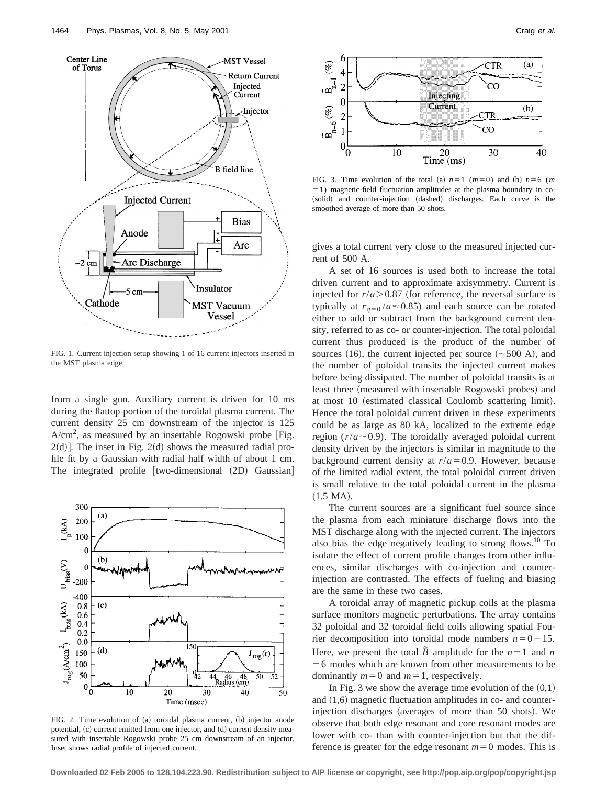

FIG. 1. Current injection setup showing 1 of 16 current injectors inserted in the MST plasma edge.

from a single gun. Auxiliary current is driven for 10 ms during the flattop portion of the toroidal plasma current. The current density 25 cm downstream of the injector is 125  $A/cm<sup>2</sup>$ , as measured by an insertable Rogowski probe [Fig.  $2(d)$ ]. The inset in Fig.  $2(d)$  shows the measured radial profile fit by a Gaussian with radial half width of about 1 cm. The integrated profile  $[two\text{-dimensional} (2D)$  Gaussian



FIG. 2. Time evolution of (a) toroidal plasma current, (b) injector anode potential, (c) current emitted from one injector, and (d) current density measured with insertable Rogowski probe 25 cm downstream of an injector. Inset shows radial profile of injected current.



FIG. 3. Time evolution of the total (a)  $n=1$  ( $m=0$ ) and (b)  $n=6$  (*m*  $=1$ ) magnetic-field fluctuation amplitudes at the plasma boundary in co-(solid) and counter-injection (dashed) discharges. Each curve is the smoothed average of more than 50 shots.

gives a total current very close to the measured injected current of 500 A.

A set of 16 sources is used both to increase the total driven current and to approximate axisymmetry. Current is injected for  $r/a$  > 0.87 (for reference, the reversal surface is typically at  $r_{q=0}$  /*a* $\approx$  0.85) and each source can be rotated either to add or subtract from the background current density, referred to as co- or counter-injection. The total poloidal current thus produced is the product of the number of sources (16), the current injected per source  $({\sim}500 \text{ A})$ , and the number of poloidal transits the injected current makes before being dissipated. The number of poloidal transits is at least three (measured with insertable Rogowski probes) and at most 10 (estimated classical Coulomb scattering limit). Hence the total poloidal current driven in these experiments could be as large as 80 kA, localized to the extreme edge region  $(r/a \sim 0.9)$ . The toroidally averaged poloidal current density driven by the injectors is similar in magnitude to the background current density at  $r/a = 0.9$ . However, because of the limited radial extent, the total poloidal current driven is small relative to the total poloidal current in the plasma  $(1.5 \text{ MA})$ .

The current sources are a significant fuel source since the plasma from each miniature discharge flows into the MST discharge along with the injected current. The injectors also bias the edge negatively leading to strong flows.<sup>10</sup> To isolate the effect of current profile changes from other influences, similar discharges with co-injection and counterinjection are contrasted. The effects of fueling and biasing are the same in these two cases.

A toroidal array of magnetic pickup coils at the plasma surface monitors magnetic perturbations. The array contains 32 poloidal and 32 toroidal field coils allowing spatial Fourier decomposition into toroidal mode numbers  $n=0-15$ . Here, we present the total  $\overline{B}$  amplitude for the  $n=1$  and  $n$  $=6$  modes which are known from other measurements to be dominantly  $m=0$  and  $m=1$ , respectively.

In Fig. 3 we show the average time evolution of the  $(0,1)$ and  $(1,6)$  magnetic fluctuation amplitudes in co- and counterinjection discharges (averages of more than 50 shots). We observe that both edge resonant and core resonant modes are lower with co- than with counter-injection but that the difference is greater for the edge resonant  $m=0$  modes. This is

**Downloaded 02 Feb 2005 to 128.104.223.90. Redistribution subject to AIP license or copyright, see http://pop.aip.org/pop/copyright.jsp**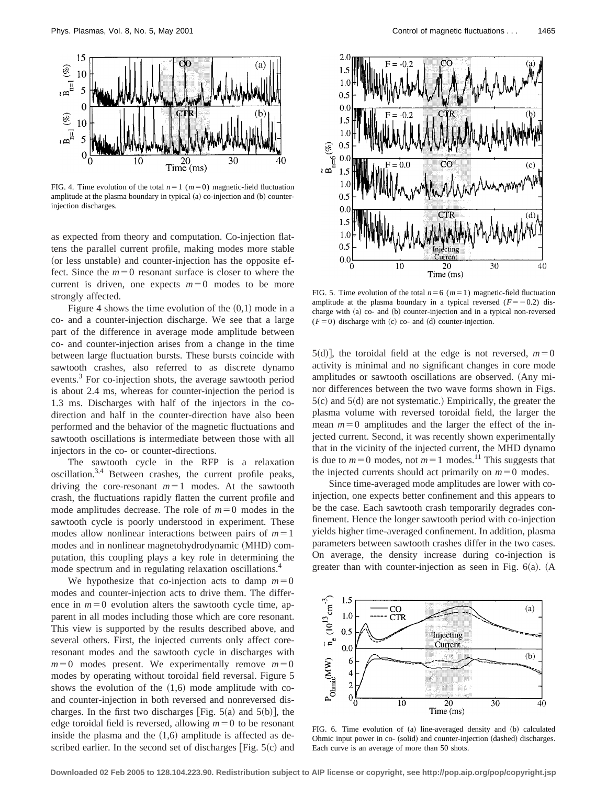

FIG. 4. Time evolution of the total  $n=1$  ( $m=0$ ) magnetic-field fluctuation amplitude at the plasma boundary in typical (a) co-injection and (b) counterinjection discharges.

as expected from theory and computation. Co-injection flattens the parallel current profile, making modes more stable (or less unstable) and counter-injection has the opposite effect. Since the  $m=0$  resonant surface is closer to where the current is driven, one expects  $m=0$  modes to be more strongly affected.

Figure 4 shows the time evolution of the  $(0,1)$  mode in a co- and a counter-injection discharge. We see that a large part of the difference in average mode amplitude between co- and counter-injection arises from a change in the time between large fluctuation bursts. These bursts coincide with sawtooth crashes, also referred to as discrete dynamo events.<sup>3</sup> For co-injection shots, the average sawtooth period is about 2.4 ms, whereas for counter-injection the period is 1.3 ms. Discharges with half of the injectors in the codirection and half in the counter-direction have also been performed and the behavior of the magnetic fluctuations and sawtooth oscillations is intermediate between those with all injectors in the co- or counter-directions.

The sawtooth cycle in the RFP is a relaxation oscillation.3,4 Between crashes, the current profile peaks, driving the core-resonant  $m=1$  modes. At the sawtooth crash, the fluctuations rapidly flatten the current profile and mode amplitudes decrease. The role of  $m=0$  modes in the sawtooth cycle is poorly understood in experiment. These modes allow nonlinear interactions between pairs of  $m=1$ modes and in nonlinear magnetohydrodynamic (MHD) computation, this coupling plays a key role in determining the mode spectrum and in regulating relaxation oscillations.<sup>4</sup>

We hypothesize that co-injection acts to damp  $m=0$ modes and counter-injection acts to drive them. The difference in  $m=0$  evolution alters the sawtooth cycle time, apparent in all modes including those which are core resonant. This view is supported by the results described above, and several others. First, the injected currents only affect coreresonant modes and the sawtooth cycle in discharges with  $m=0$  modes present. We experimentally remove  $m=0$ modes by operating without toroidal field reversal. Figure 5 shows the evolution of the  $(1,6)$  mode amplitude with coand counter-injection in both reversed and nonreversed discharges. In the first two discharges [Fig.  $5(a)$  and  $5(b)$ ], the edge toroidal field is reversed, allowing  $m=0$  to be resonant inside the plasma and the  $(1,6)$  amplitude is affected as described earlier. In the second set of discharges  $[Fig. 5(c)$  and



FIG. 5. Time evolution of the total  $n=6$  ( $m=1$ ) magnetic-field fluctuation amplitude at the plasma boundary in a typical reversed  $(F=-0.2)$  discharge with (a) co- and (b) counter-injection and in a typical non-reversed  $(F=0)$  discharge with (c) co- and (d) counter-injection.

5(d)], the toroidal field at the edge is not reversed,  $m=0$ activity is minimal and no significant changes in core mode amplitudes or sawtooth oscillations are observed. (Any minor differences between the two wave forms shown in Figs.  $5(c)$  and  $5(d)$  are not systematic.) Empirically, the greater the plasma volume with reversed toroidal field, the larger the mean  $m=0$  amplitudes and the larger the effect of the injected current. Second, it was recently shown experimentally that in the vicinity of the injected current, the MHD dynamo is due to  $m=0$  modes, not  $m=1$  modes.<sup>11</sup> This suggests that the injected currents should act primarily on  $m=0$  modes.

Since time-averaged mode amplitudes are lower with coinjection, one expects better confinement and this appears to be the case. Each sawtooth crash temporarily degrades confinement. Hence the longer sawtooth period with co-injection yields higher time-averaged confinement. In addition, plasma parameters between sawtooth crashes differ in the two cases. On average, the density increase during co-injection is greater than with counter-injection as seen in Fig.  $6(a)$ . (A



FIG. 6. Time evolution of (a) line-averaged density and (b) calculated Ohmic input power in co- (solid) and counter-injection (dashed) discharges. Each curve is an average of more than 50 shots.

**Downloaded 02 Feb 2005 to 128.104.223.90. Redistribution subject to AIP license or copyright, see http://pop.aip.org/pop/copyright.jsp**